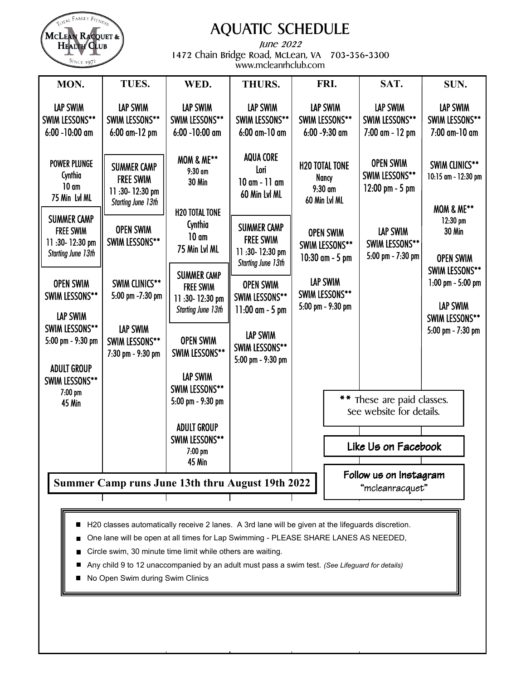

# AQUATIC SCHEDULE

June 2022 1472 Chain Bridge Road, McLean, VA 703-356-3300 www.mcleanrhclub.com

| MON.                                                                                  | TUES.                                                                                 | WED.                                                                                  | <b>THURS.</b>                                                                         | FRI.                                                         | SAT.                                                     | SUN.                                                                     |  |
|---------------------------------------------------------------------------------------|---------------------------------------------------------------------------------------|---------------------------------------------------------------------------------------|---------------------------------------------------------------------------------------|--------------------------------------------------------------|----------------------------------------------------------|--------------------------------------------------------------------------|--|
| LAP SWIM<br><b>SWIM LESSONS**</b><br>$6:00 - 10:00$ am                                | <b>LAP SWIM</b><br><b>SWIM LESSONS**</b><br>6:00 am-12 pm                             | <b>LAP SWIM</b><br><b>SWIM LESSONS**</b><br>$6:00 - 10:00$ am                         | LAP SWIM<br>SWIM LESSONS**<br>6:00 am-10 am                                           | LAP SWIM<br>SWIM LESSONS**<br>$6:00 - 9:30$ am               | LAP SWIM<br><b>SWIM LESSONS**</b><br>7:00 am - 12 pm     | LAP SWIM<br><b>SWIM LESSONS**</b><br>7:00 am-10 am                       |  |
| <b>POWER PLUNGE</b><br>Cynthia<br>10 <sub>cm</sub><br>75 Min Lvl ML                   | <b>SUMMER CAMP</b><br><b>FREE SWIM</b><br>11:30-12:30 pm<br><b>Starting June 13th</b> | <b>MOM &amp; ME**</b><br>$9:30$ am<br><b>30 Min</b>                                   | <b>AQUA CORE</b><br>Lori<br>$10$ am - $11$ am<br>60 Min Lvl ML                        | <b>H2O TOTAL TONE</b><br>Nancy<br>$9:30$ am<br>60 Min Lvl ML | <b>OPEN SWIM</b><br>SWIM LESSONS**<br>$12:00$ pm $-5$ pm | SWIM CLINICS**<br>10:15 am - 12:30 pm                                    |  |
| <b>SUMMER CAMP</b><br><b>FREE SWIM</b><br>11:30-12:30 pm<br><b>Starting June 13th</b> | <b>OPEN SWIM</b><br>SWIM LESSONS**                                                    | <b>H2O TOTAL TONE</b><br>Cynthia<br>10 <sub>cm</sub><br>75 Min Lvl ML                 | <b>SUMMER CAMP</b><br><b>FREE SWIM</b><br>11:30-12:30 pm<br><b>Starting June 13th</b> | <b>OPEN SWIM</b><br><b>SWIM LESSONS**</b><br>10:30 am - 5 pm | LAP SWIM<br>SWIM LESSONS**<br>5:00 pm - 7:30 pm          | <b>MOM &amp; ME**</b><br>$12:30$ pm<br><b>30 Min</b><br><b>OPEN SWIM</b> |  |
| <b>OPEN SWIM</b><br>SWIM LESSONS**<br>LAP SWIM                                        | SWIM CLINICS**<br>5:00 pm -7:30 pm                                                    | <b>SUMMER CAMP</b><br><b>FREE SWIM</b><br>11:30-12:30 pm<br><b>Starting June 13th</b> | <b>OPEN SWIM</b><br>SWIM LESSONS**<br>$11:00$ am - 5 pm                               | LAP SWIM<br>SWIM LESSONS**<br>5:00 pm - 9:30 pm              |                                                          | SWIM LESSONS**<br>$1:00$ pm $-5:00$ pm<br>LAP SWIM<br>SWIM LESSONS**     |  |
| SWIM LESSONS**<br>5:00 pm - 9:30 pm<br><b>ADULT GROUP</b>                             | LAP SWIM<br>SWIM LESSONS**<br>7:30 pm - 9:30 pm                                       | <b>OPEN SWIM</b><br>SWIM LESSONS**                                                    | LAP SWIM<br>SWIM LESSONS**<br>5:00 pm - 9:30 pm                                       |                                                              |                                                          | 5:00 pm - 7:30 pm                                                        |  |
| <b>SWIM LESSONS**</b><br>$7:00$ pm<br>45 Min                                          |                                                                                       | LAP SWIM<br>SWIM LESSONS**<br>5:00 pm - 9:30 pm                                       |                                                                                       |                                                              | These are paid classes.<br>see website for details.      |                                                                          |  |
|                                                                                       |                                                                                       | <b>ADULT GROUP</b><br><b>SWIM LESSONS**</b><br>7:00 pm<br><b>45 Min</b>               |                                                                                       |                                                              | Like Us on Facebook                                      |                                                                          |  |
|                                                                                       | Summer Camp runs June 13th thru August 19th 2022                                      |                                                                                       | Follow us on Instagram<br>"mcleanracquet"                                             |                                                              |                                                          |                                                                          |  |

- H20 classes automatically receive 2 lanes. A 3rd lane will be given at the lifeguards discretion.
- One lane will be open at all times for Lap Swimming PLEASE SHARE LANES AS NEEDED,
- Circle swim, 30 minute time limit while others are waiting.
- Any child 9 to 12 unaccompanied by an adult must pass a swim test. *(See Lifeguard for details)*
- No Open Swim during Swim Clinics